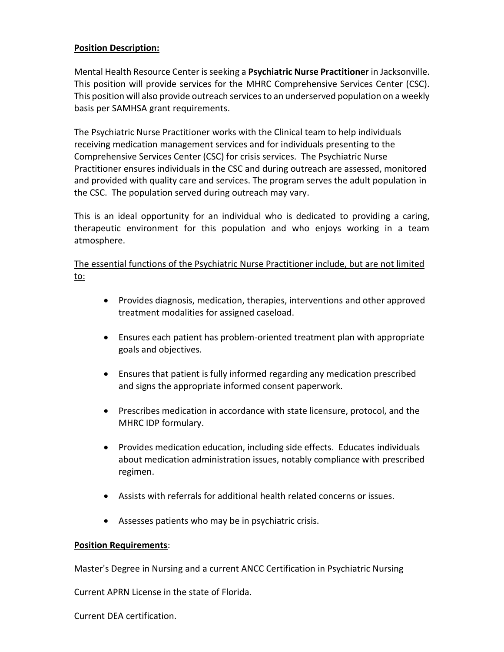## **Position Description:**

Mental Health Resource Center is seeking a **Psychiatric Nurse Practitioner** in Jacksonville. This position will provide services for the MHRC Comprehensive Services Center (CSC). This position will also provide outreach services to an underserved population on a weekly basis per SAMHSA grant requirements.

The Psychiatric Nurse Practitioner works with the Clinical team to help individuals receiving medication management services and for individuals presenting to the Comprehensive Services Center (CSC) for crisis services. The Psychiatric Nurse Practitioner ensures individuals in the CSC and during outreach are assessed, monitored and provided with quality care and services. The program serves the adult population in the CSC. The population served during outreach may vary.

This is an ideal opportunity for an individual who is dedicated to providing a caring, therapeutic environment for this population and who enjoys working in a team atmosphere.

The essential functions of the Psychiatric Nurse Practitioner include, but are not limited to:

- Provides diagnosis, medication, therapies, interventions and other approved treatment modalities for assigned caseload.
- Ensures each patient has problem-oriented treatment plan with appropriate goals and objectives.
- Ensures that patient is fully informed regarding any medication prescribed and signs the appropriate informed consent paperwork.
- Prescribes medication in accordance with state licensure, protocol, and the MHRC IDP formulary.
- Provides medication education, including side effects. Educates individuals about medication administration issues, notably compliance with prescribed regimen.
- Assists with referrals for additional health related concerns or issues.
- Assesses patients who may be in psychiatric crisis.

## **Position Requirements**:

Master's Degree in Nursing and a current ANCC Certification in Psychiatric Nursing

Current APRN License in the state of Florida.

Current DEA certification.